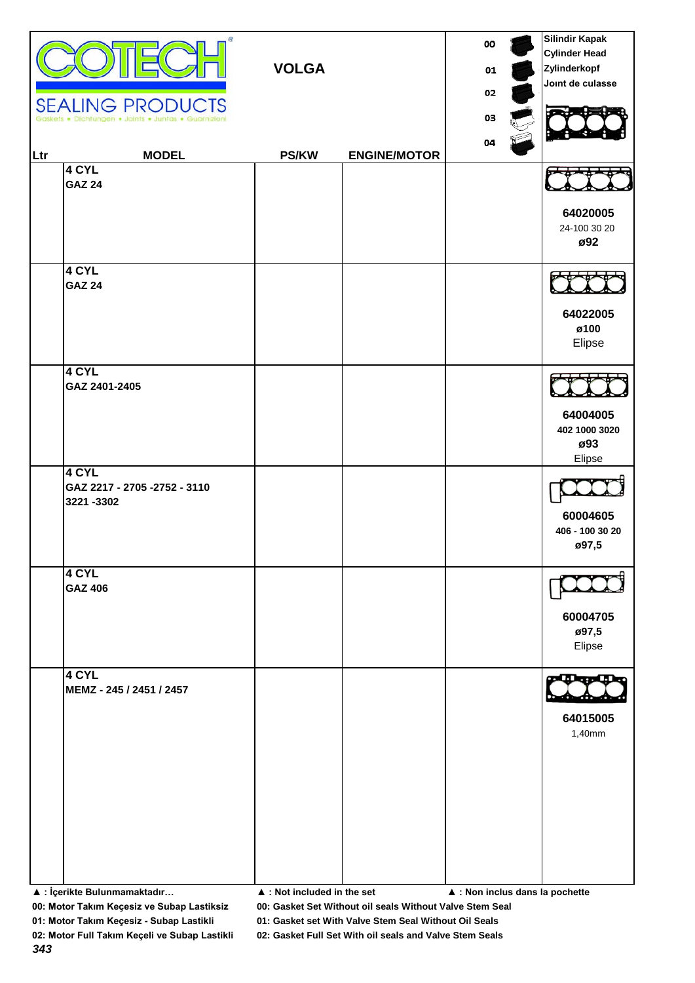| Ltr                          | œ<br><b>SEALING PRODUCTS</b><br><b>MODEL</b>        | <b>VOLGA</b><br><b>PS/KW</b> | <b>ENGINE/MOTOR</b>                            | 00<br>01<br>02<br>03<br>04 |  | <b>Silindir Kapak</b><br><b>Cylinder Head</b><br>Zylinderkopf<br>Joint de culasse |
|------------------------------|-----------------------------------------------------|------------------------------|------------------------------------------------|----------------------------|--|-----------------------------------------------------------------------------------|
|                              | 4 CYL<br><b>GAZ 24</b>                              |                              |                                                |                            |  | 64020005<br>24-100 30 20<br>ø92                                                   |
|                              | 4 CYL<br><b>GAZ 24</b>                              |                              |                                                |                            |  | 64022005<br>ø100<br>Elipse                                                        |
|                              | 4 CYL<br>GAZ 2401-2405                              |                              |                                                |                            |  | 64004005<br>402 1000 3020<br>ø93<br>Elipse                                        |
|                              | 4 CYL<br>GAZ 2217 - 2705 - 2752 - 3110<br>3221-3302 |                              |                                                |                            |  | 60004605<br>406 - 100 30 20<br>ø97,5                                              |
|                              | 4 CYL<br><b>GAZ 406</b>                             |                              |                                                |                            |  | 60004705<br>ø97,5<br>Elipse                                                       |
|                              | 4 CYL<br>MEMZ - 245 / 2451 / 2457                   |                              |                                                |                            |  | 64015005<br>1,40mm                                                                |
| ▲ : İçerikte Bulunmamaktadır |                                                     | ▲ : Not included in the set  | $\blacktriangle$ : Non inclus dans la pochette |                            |  |                                                                                   |

**00: Motor Takım Keçesiz ve Subap Lastiksiz 00: Gasket Set Without oil seals Without Valve Stem Seal**

**01: Motor Takım Keçesiz - Subap Lastikli 01: Gasket set With Valve Stem Seal Without Oil Seals**

*343*

**02: Motor Full Takım Keçeli ve Subap Lastikli 02: Gasket Full Set With oil seals and Valve Stem Seals**